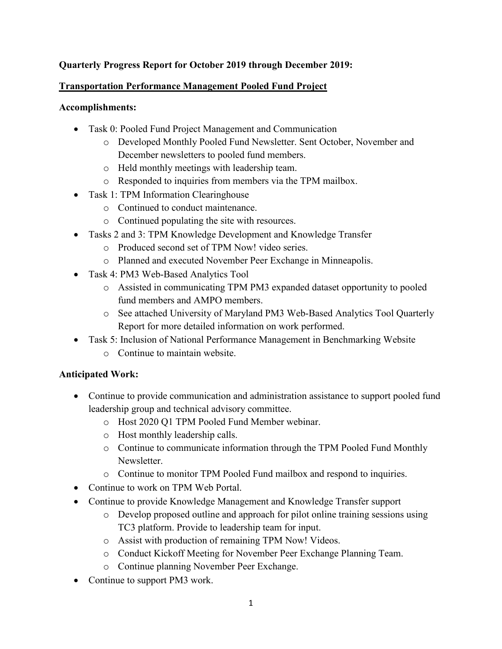# **Quarterly Progress Report for October 2019 through December 2019:**

### **Transportation Performance Management Pooled Fund Project**

### **Accomplishments:**

- Task 0: Pooled Fund Project Management and Communication
	- o Developed Monthly Pooled Fund Newsletter. Sent October, November and December newsletters to pooled fund members.
	- o Held monthly meetings with leadership team.
	- o Responded to inquiries from members via the TPM mailbox.
- Task 1: TPM Information Clearinghouse
	- o Continued to conduct maintenance.
	- o Continued populating the site with resources.
- Tasks 2 and 3: TPM Knowledge Development and Knowledge Transfer
	- o Produced second set of TPM Now! video series.
	- o Planned and executed November Peer Exchange in Minneapolis.
- Task 4: PM3 Web-Based Analytics Tool
	- o Assisted in communicating TPM PM3 expanded dataset opportunity to pooled fund members and AMPO members.
	- o See attached University of Maryland PM3 Web-Based Analytics Tool Quarterly Report for more detailed information on work performed.
- Task 5: Inclusion of National Performance Management in Benchmarking Website
	- o Continue to maintain website.

# **Anticipated Work:**

- Continue to provide communication and administration assistance to support pooled fund leadership group and technical advisory committee.
	- o Host 2020 Q1 TPM Pooled Fund Member webinar.
	- o Host monthly leadership calls.
	- o Continue to communicate information through the TPM Pooled Fund Monthly Newsletter.
	- o Continue to monitor TPM Pooled Fund mailbox and respond to inquiries.
- Continue to work on TPM Web Portal.
- Continue to provide Knowledge Management and Knowledge Transfer support
	- o Develop proposed outline and approach for pilot online training sessions using TC3 platform. Provide to leadership team for input.
	- o Assist with production of remaining TPM Now! Videos.
	- o Conduct Kickoff Meeting for November Peer Exchange Planning Team.
	- o Continue planning November Peer Exchange.
- Continue to support PM3 work.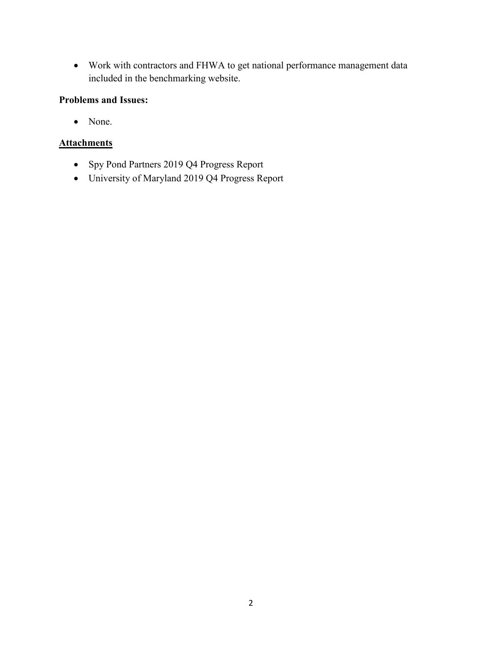• Work with contractors and FHWA to get national performance management data included in the benchmarking website.

## **Problems and Issues:**

• None.

### **Attachments**

- Spy Pond Partners 2019 Q4 Progress Report
- University of Maryland 2019 Q4 Progress Report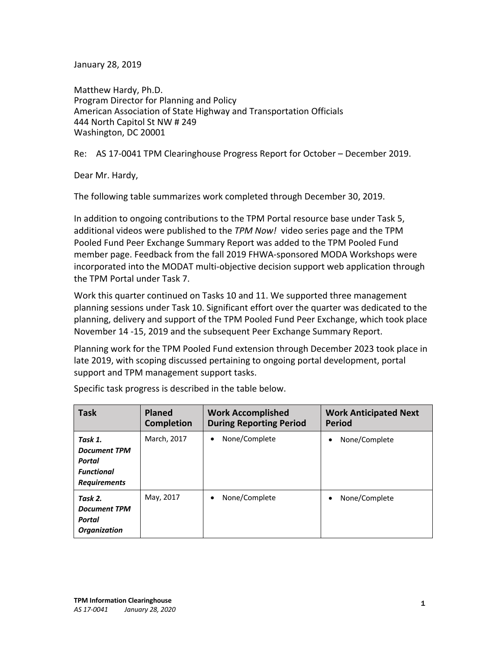January 28, 2019

Matthew Hardy, Ph.D. Program Director for Planning and Policy American Association of State Highway and Transportation Officials 444 North Capitol St NW # 249 Washington, DC 20001

Re: AS 17-0041 TPM Clearinghouse Progress Report for October – December 2019.

Dear Mr. Hardy,

The following table summarizes work completed through December 30, 2019.

In addition to ongoing contributions to the TPM Portal resource base under Task 5, additional videos were published to the *TPM Now!* video series page and the TPM Pooled Fund Peer Exchange Summary Report was added to the TPM Pooled Fund member page. Feedback from the fall 2019 FHWA-sponsored MODA Workshops were incorporated into the MODAT multi-objective decision support web application through the TPM Portal under Task 7.

Work this quarter continued on Tasks 10 and 11. We supported three management planning sessions under Task 10. Significant effort over the quarter was dedicated to the planning, delivery and support of the TPM Pooled Fund Peer Exchange, which took place November 14 -15, 2019 and the subsequent Peer Exchange Summary Report.

Planning work for the TPM Pooled Fund extension through December 2023 took place in late 2019, with scoping discussed pertaining to ongoing portal development, portal support and TPM management support tasks.

| <b>Task</b>                                                                          | <b>Planed</b><br><b>Completion</b> | <b>Work Accomplished</b><br><b>During Reporting Period</b> | <b>Work Anticipated Next</b><br><b>Period</b> |
|--------------------------------------------------------------------------------------|------------------------------------|------------------------------------------------------------|-----------------------------------------------|
| Task 1.<br><b>Document TPM</b><br>Portal<br><b>Functional</b><br><b>Requirements</b> | March, 2017                        | None/Complete                                              | None/Complete<br>$\bullet$                    |
| Task 2.<br><b>Document TPM</b><br>Portal<br><b>Organization</b>                      | May, 2017                          | None/Complete<br>$\bullet$                                 | None/Complete<br>$\bullet$                    |

Specific task progress is described in the table below.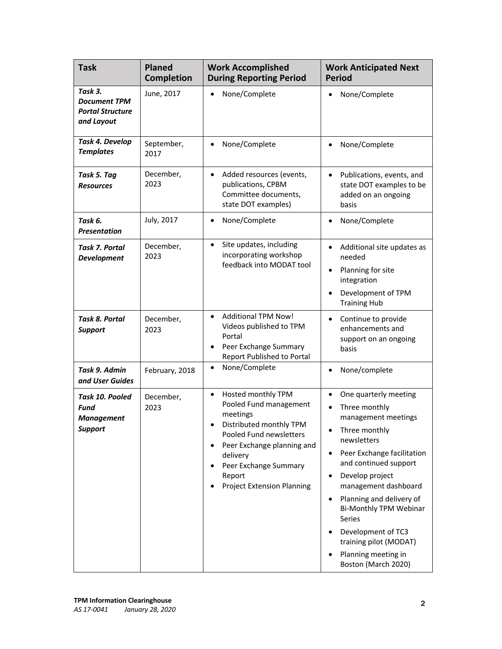| <b>Task</b>                                                             | <b>Planed</b><br><b>Completion</b> | <b>Work Accomplished</b><br><b>During Reporting Period</b>                                                                                                                                                                                                 | <b>Work Anticipated Next</b><br><b>Period</b>                                                                                                                                                                                                                                                                                                                                                                                                            |
|-------------------------------------------------------------------------|------------------------------------|------------------------------------------------------------------------------------------------------------------------------------------------------------------------------------------------------------------------------------------------------------|----------------------------------------------------------------------------------------------------------------------------------------------------------------------------------------------------------------------------------------------------------------------------------------------------------------------------------------------------------------------------------------------------------------------------------------------------------|
| Task 3.<br><b>Document TPM</b><br><b>Portal Structure</b><br>and Layout | June, 2017                         | None/Complete                                                                                                                                                                                                                                              | None/Complete<br>$\bullet$                                                                                                                                                                                                                                                                                                                                                                                                                               |
| Task 4. Develop<br><b>Templates</b>                                     | September,<br>2017                 | None/Complete<br>$\bullet$                                                                                                                                                                                                                                 | None/Complete<br>$\bullet$                                                                                                                                                                                                                                                                                                                                                                                                                               |
| Task 5. Tag<br><b>Resources</b>                                         | December,<br>2023                  | Added resources (events,<br>$\bullet$<br>publications, CPBM<br>Committee documents,<br>state DOT examples)                                                                                                                                                 | Publications, events, and<br>$\bullet$<br>state DOT examples to be<br>added on an ongoing<br>basis                                                                                                                                                                                                                                                                                                                                                       |
| Task 6.<br><b>Presentation</b>                                          | July, 2017                         | None/Complete<br>$\bullet$                                                                                                                                                                                                                                 | None/Complete<br>$\bullet$                                                                                                                                                                                                                                                                                                                                                                                                                               |
| <b>Task 7. Portal</b><br><b>Development</b>                             | December,<br>2023                  | Site updates, including<br>$\bullet$<br>incorporating workshop<br>feedback into MODAT tool                                                                                                                                                                 | Additional site updates as<br>$\bullet$<br>needed<br>Planning for site<br>$\bullet$<br>integration<br>Development of TPM<br>$\bullet$<br><b>Training Hub</b>                                                                                                                                                                                                                                                                                             |
| Task 8. Portal<br><b>Support</b>                                        | December,<br>2023                  | <b>Additional TPM Now!</b><br>$\bullet$<br>Videos published to TPM<br>Portal<br>Peer Exchange Summary<br>$\bullet$<br><b>Report Published to Portal</b>                                                                                                    | Continue to provide<br>$\bullet$<br>enhancements and<br>support on an ongoing<br>basis                                                                                                                                                                                                                                                                                                                                                                   |
| Task 9. Admin<br>and User Guides                                        | February, 2018                     | None/Complete<br>$\bullet$                                                                                                                                                                                                                                 | None/complete<br>$\bullet$                                                                                                                                                                                                                                                                                                                                                                                                                               |
| Task 10. Pooled<br>Fund<br><b>Management</b><br><b>Support</b>          | December,<br>2023                  | Hosted monthly TPM<br>$\bullet$<br>Pooled Fund management<br>meetings<br>Distributed monthly TPM<br>Pooled Fund newsletters<br>Peer Exchange planning and<br>$\bullet$<br>delivery<br>Peer Exchange Summary<br>Report<br><b>Project Extension Planning</b> | One quarterly meeting<br>$\bullet$<br>Three monthly<br>$\bullet$<br>management meetings<br>Three monthly<br>$\bullet$<br>newsletters<br>Peer Exchange facilitation<br>$\bullet$<br>and continued support<br>Develop project<br>$\bullet$<br>management dashboard<br>Planning and delivery of<br>$\bullet$<br>Bi-Monthly TPM Webinar<br>Series<br>Development of TC3<br>$\bullet$<br>training pilot (MODAT)<br>Planning meeting in<br>Boston (March 2020) |